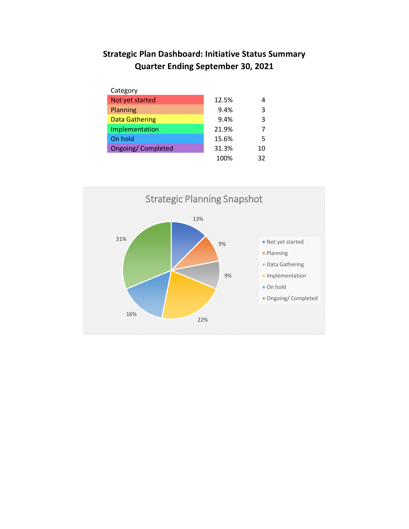## **Strategic Plan Dashboard: Initiative Status Summary Quarter Ending September 30, 2021**

| Category                  |       |    |
|---------------------------|-------|----|
| Not yet started           | 12.5% |    |
| Planning                  | 9.4%  | 3  |
| <b>Data Gathering</b>     | 9.4%  | 3  |
| Implementation            | 21.9% |    |
| On hold                   | 15.6% | 5  |
| <b>Ongoing/ Completed</b> | 31.3% | 10 |
|                           | 100%  | 32 |